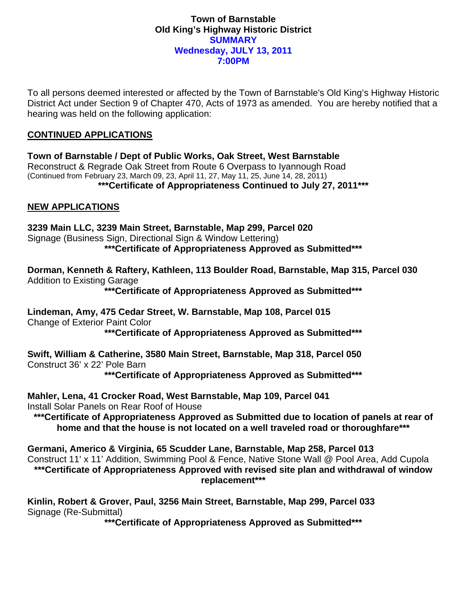### **Town of Barnstable Old King's Highway Historic District SUMMARY Wednesday, JULY 13, 2011 7:00PM**

To all persons deemed interested or affected by the Town of Barnstable's Old King's Highway Historic District Act under Section 9 of Chapter 470, Acts of 1973 as amended. You are hereby notified that a hearing was held on the following application:

# **CONTINUED APPLICATIONS**

**Town of Barnstable / Dept of Public Works, Oak Street, West Barnstable**  Reconstruct & Regrade Oak Street from Route 6 Overpass to Iyannough Road (Continued from February 23, March 09, 23, April 11, 27, May 11, 25, June 14, 28, 2011) **\*\*\*Certificate of Appropriateness Continued to July 27, 2011\*\*\*** 

# **NEW APPLICATIONS**

**3239 Main LLC, 3239 Main Street, Barnstable, Map 299, Parcel 020**  Signage (Business Sign, Directional Sign & Window Lettering) **\*\*\*Certificate of Appropriateness Approved as Submitted\*\*\*** 

**Dorman, Kenneth & Raftery, Kathleen, 113 Boulder Road, Barnstable, Map 315, Parcel 030**  Addition to Existing Garage

**\*\*\*Certificate of Appropriateness Approved as Submitted\*\*\*** 

**Lindeman, Amy, 475 Cedar Street, W. Barnstable, Map 108, Parcel 015**  Change of Exterior Paint Color

**\*\*\*Certificate of Appropriateness Approved as Submitted\*\*\*** 

**Swift, William & Catherine, 3580 Main Street, Barnstable, Map 318, Parcel 050**  Construct 36' x 22' Pole Barn

**\*\*\*Certificate of Appropriateness Approved as Submitted\*\*\*** 

**Mahler, Lena, 41 Crocker Road, West Barnstable, Map 109, Parcel 041**  Install Solar Panels on Rear Roof of House

**\*\*\*Certificate of Appropriateness Approved as Submitted due to location of panels at rear of home and that the house is not located on a well traveled road or thoroughfare\*\*\*** 

**Germani, Americo & Virginia, 65 Scudder Lane, Barnstable, Map 258, Parcel 013**  Construct 11' x 11' Addition, Swimming Pool & Fence, Native Stone Wall @ Pool Area, Add Cupola **\*\*\*Certificate of Appropriateness Approved with revised site plan and withdrawal of window replacement\*\*\*** 

**Kinlin, Robert & Grover, Paul, 3256 Main Street, Barnstable, Map 299, Parcel 033**  Signage (Re-Submittal)

**\*\*\*Certificate of Appropriateness Approved as Submitted\*\*\***